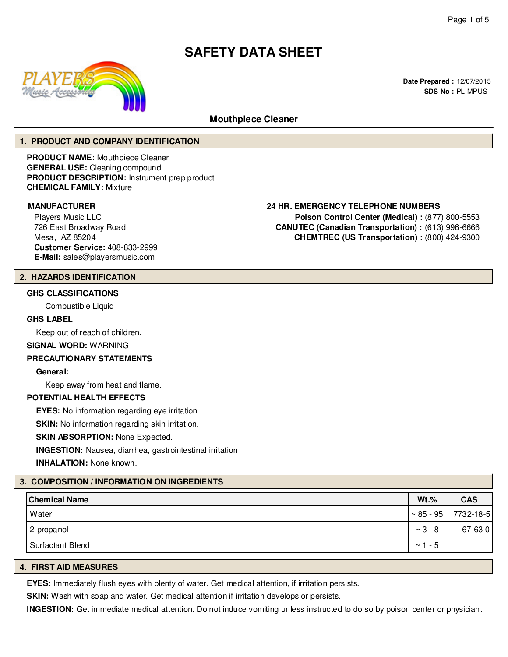

**Date Prepared :** 12/07/2015 **SDS No :** PL-MPUS

# **Mouthpiece Cleaner**

# **1. PRODUCT AND COMPANY IDENTIFICATION**

**PRODUCT NAME:** Mouthpiece Cleaner **GENERAL USE:** Cleaning compound **PRODUCT DESCRIPTION:** Instrument prep product **CHEMICAL FAMILY:** Mixture

Players Music LLC 726 East Broadway Road Mesa, AZ 85204 **Customer Service:** 408-833-2999 **E-Mail:** sales@playersmusic.com

# **MANUFACTURER 24 HR. EMERGENCY TELEPHONE NUMBERS**

**Poison Control Center (Medical) :** (877) 800-5553 **CANUTEC (Canadian Transportation) :** (613) 996-6666 **CHEMTREC (US Transportation) :** (800) 424-9300

# **2. HAZARDS IDENTIFICATION**

# **GHS CLASSIFICATIONS**

Combustible Liquid

# **GHS LABEL**

Keep out of reach of children.

#### **SIGNAL WORD:** WARNING

#### **PRECAUTIONARY STATEMENTS**

**General:**

Keep away from heat and flame.

# **POTENTIAL HEALTH EFFECTS**

**EYES:** No information regarding eye irritation.

**SKIN:** No information regarding skin irritation.

# **SKIN ABSORPTION: None Expected.**

**INGESTION:** Nausea, diarrhea, gastrointestinal irritation

**INHALATION:** None known.

# **3. COMPOSITION / INFORMATION ON INGREDIENTS**

| <b>Chemical Name</b> | $Wt.\%$          | <b>CAS</b> |
|----------------------|------------------|------------|
| Water                | $\sim 85 - 95$   | 7732-18-5  |
| 2-propanol           | $~^{\sim}$ 3 - 8 | 67-63-0    |
| Surfactant Blend     | - 5<br>$\sim$ 1  |            |

# **4. FIRST AID MEASURES**

**EYES:** Immediately flush eyes with plenty of water. Get medical attention, if irritation persists.

**SKIN:** Wash with soap and water. Get medical attention if irritation develops or persists.

**INGESTION:** Get immediate medical attention. Do not induce vomiting unless instructed to do so by poison center or physician.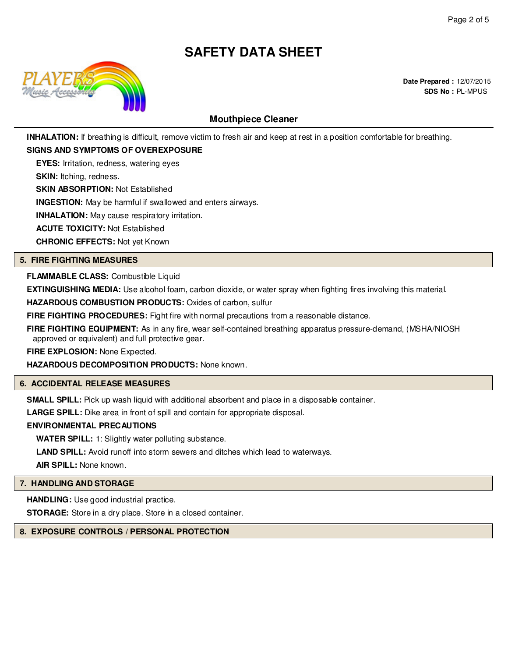

# **Mouthpiece Cleaner**

**INHALATION:** If breathing is difficult, remove victim to fresh air and keep at rest in a position comfortable for breathing.

# **SIGNS AND SYMPTOMS OF OVEREXPOSURE**

**EYES:** Irritation, redness, watering eyes

**SKIN:** Itching, redness.

**SKIN ABSORPTION:** Not Established

**INGESTION:** May be harmful if swallowed and enters airways.

**INHALATION:** May cause respiratory irritation.

**ACUTE TOXICITY:** Not Established

**CHRONIC EFFECTS:** Not yet Known

# **5. FIRE FIGHTING MEASURES**

# **FLAMMABLE CLASS:** Combustible Liquid

**EXTINGUISHING MEDIA:** Use alcohol foam, carbon dioxide, or water spray when fighting fires involving this material.

**HAZARDOUS COMBUSTION PRODUCTS:** Oxides of carbon, sulfur

**FIRE FIGHTING PROCEDURES:** Fight fire with normal precautions from a reasonable distance.

**FIRE FIGHTING EQUIPMENT:** As in any fire, wear self-contained breathing apparatus pressure-demand, (MSHA/NIOSH approved or equivalent) and full protective gear.

**FIRE EXPLOSION:** None Expected.

**HAZARDOUS DECOMPOSITION PRODUCTS:** None known.

# **6. ACCIDENTAL RELEASE MEASURES**

**SMALL SPILL:** Pick up wash liquid with additional absorbent and place in a disposable container.

**LARGE SPILL:** Dike area in front of spill and contain for appropriate disposal.

# **ENVIRONMENTAL PRECAUTIONS**

**WATER SPILL:** 1: Slightly water polluting substance.

**LAND SPILL:** Avoid runoff into storm sewers and ditches which lead to waterways.

**AIR SPILL:** None known.

# **7. HANDLING AND STORAGE**

**HANDLING:** Use good industrial practice.

**STORAGE:** Store in a dry place. Store in a closed container.

# **8. EXPOSURE CONTROLS / PERSONAL PROTECTION**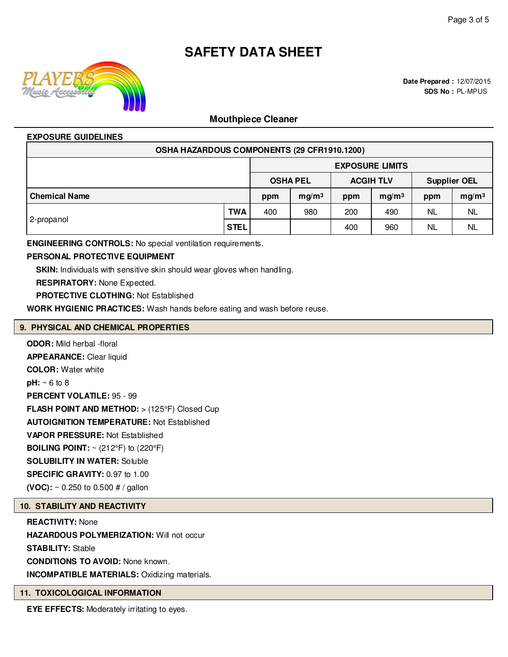

# **Mouthpiece Cleaner**

# **EXPOSURE GUIDELINES**

| OSHA HAZARDOUS COMPONENTS (29 CFR1910.1200) |             |                        |                                     |     |                   |                          |           |                     |  |
|---------------------------------------------|-------------|------------------------|-------------------------------------|-----|-------------------|--------------------------|-----------|---------------------|--|
|                                             |             | <b>EXPOSURE LIMITS</b> |                                     |     |                   |                          |           |                     |  |
|                                             |             |                        | <b>OSHA PEL</b><br><b>ACGIH TLV</b> |     |                   |                          |           | <b>Supplier OEL</b> |  |
| <b>Chemical Name</b>                        |             | ppm                    | mg/m <sup>3</sup>                   | ppm | mg/m <sup>3</sup> | mg/m <sup>3</sup><br>ppm |           |                     |  |
| 2-propanol                                  | <b>TWA</b>  | 400                    | 980                                 | 200 | 490               | <b>NL</b>                | <b>NL</b> |                     |  |
|                                             | <b>STEL</b> |                        |                                     | 400 | 960               | <b>NL</b>                | <b>NL</b> |                     |  |

**ENGINEERING CONTROLS:** No special ventilation requirements.

# **PERSONAL PROTECTIVE EQUIPMENT**

**SKIN:** Individuals with sensitive skin should wear gloves when handling.

**RESPIRATORY:** None Expected.

**PROTECTIVE CLOTHING:** Not Established

**WORK HYGIENIC PRACTICES:** Wash hands before eating and wash before reuse.

# **9. PHYSICAL AND CHEMICAL PROPERTIES**

**ODOR:** Mild herbal -floral **APPEARANCE:** Clear liquid **COLOR:** Water white **pH:** ~ 6 to 8 **PERCENT VOLATILE:** 95 - 99 **FLASH POINT AND METHOD:** > (125°F) Closed Cup **AUTOIGNITION TEMPERATURE:** Not Established **VAPOR PRESSURE:** Not Established **BOILING POINT:**  $\sim$  (212°F) to (220°F) **SOLUBILITY IN WATER:** Soluble **SPECIFIC GRAVITY:** 0.97 to 1.00 **(VOC):** ~ 0.250 to 0.500 # / gallon

# **10. STABILITY AND REACTIVITY**

**REACTIVITY:** None **HAZARDOUS POLYMERIZATION:** Will not occur **STABILITY:** Stable **CONDITIONS TO AVOID:** None known. **INCOMPATIBLE MATERIALS:** Oxidizing materials.

# **11. TOXICOLOGICAL INFORMATION**

**EYE EFFECTS:** Moderately irritating to eyes.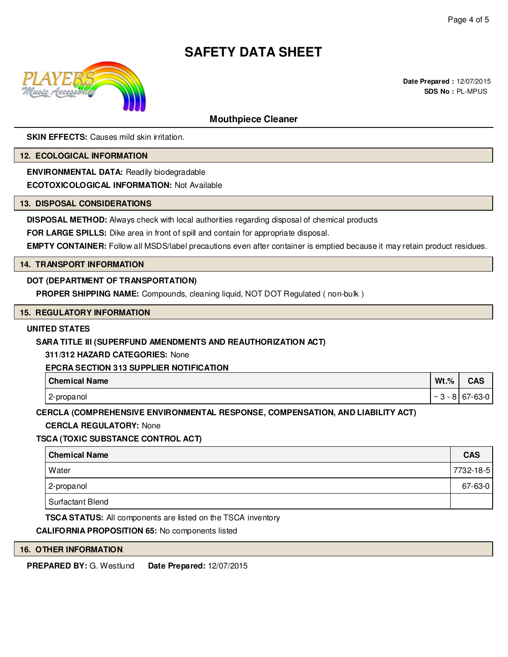

# **Mouthpiece Cleaner**

**SKIN EFFECTS:** Causes mild skin irritation.

#### **12. ECOLOGICAL INFORMATION**

**ENVIRONMENTAL DATA:** Readily biodegradable

**ECOTOXICOLOGICAL INFORMATION:** Not Available

# **13. DISPOSAL CONSIDERATIONS**

**DISPOSAL METHOD:** Always check with local authorities regarding disposal of chemical products

**FOR LARGE SPILLS:** Dike area in front of spill and contain for appropriate disposal.

**EMPTY CONTAINER:** Follow all MSDS/label precautions even after container is emptied because it may retain product residues.

# **14. TRANSPORT INFORMATION**

# **DOT (DEPARTMENT OF TRANSPORTATION)**

**PROPER SHIPPING NAME:** Compounds, cleaning liquid, NOT DOT Regulated ( non-bulk )

#### **15. REGULATORY INFORMATION**

# **UNITED STATES**

# **SARA TITLE III (SUPERFUND AMENDMENTS AND REAUTHORIZATION ACT)**

**311/312 HAZARD CATEGORIES:** None

# **EPCRA SECTION 313 SUPPLIER NOTIFICATION**

| <b>Chemical Name</b> | $Wt.\%$                | CAS                               |
|----------------------|------------------------|-----------------------------------|
| 2-propanol           | o l<br>$\sim$<br>$-01$ | $63-0$<br>$\sim$<br>ס- <i>ו</i> ס |

**CERCLA (COMPREHENSIVE ENVIRONMENTAL RESPONSE, COMPENSATION, AND LIABILITY ACT)**

# **CERCLA REGULATORY:** None

# **TSCA (TOXIC SUBSTANCE CONTROL ACT)**

|       | <b>Chemical Name</b> | <b>CAS</b>    |
|-------|----------------------|---------------|
| Water |                      | 7732-18-5     |
|       | 2-propanol           | $67 - 63 - 0$ |
|       | Surfactant Blend     |               |

**TSCA STATUS:** All components are listed on the TSCA inventory

# **CALIFORNIA PROPOSITION 65:** No components listed

# **16. OTHER INFORMATION**

**PREPARED BY:** G. Westlund **Date Prepared:** 12/07/2015